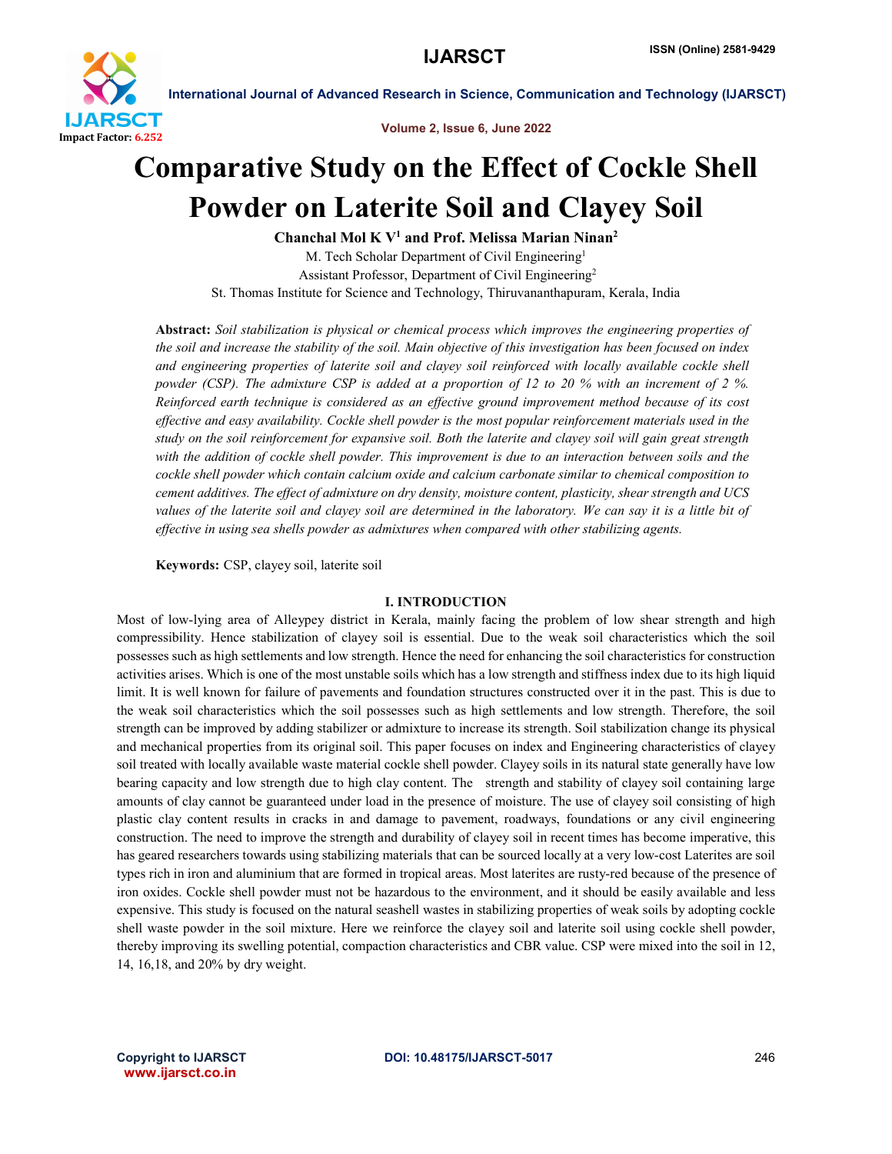

Volume 2, Issue 6, June 2022

## Comparative Study on the Effect of Cockle Shell Powder on Laterite Soil and Clayey Soil

Chanchal Mol K  $V^1$  and Prof. Melissa Marian Ninan<sup>2</sup> M. Tech Scholar Department of Civil Engineering<sup>1</sup> Assistant Professor, Department of Civil Engineering2 St. Thomas Institute for Science and Technology, Thiruvananthapuram, Kerala, India

Abstract: *Soil stabilization is physical or chemical process which improves the engineering properties of the soil and increase the stability of the soil. Main objective of this investigation has been focused on index and engineering properties of laterite soil and clayey soil reinforced with locally available cockle shell powder (CSP). The admixture CSP is added at a proportion of 12 to 20 % with an increment of 2 %. Reinforced earth technique is considered as an effective ground improvement method because of its cost effective and easy availability. Cockle shell powder is the most popular reinforcement materials used in the study on the soil reinforcement for expansive soil. Both the laterite and clayey soil will gain great strength with the addition of cockle shell powder. This improvement is due to an interaction between soils and the cockle shell powder which contain calcium oxide and calcium carbonate similar to chemical composition to cement additives. The effect of admixture on dry density, moisture content, plasticity, shear strength and UCS values of the laterite soil and clayey soil are determined in the laboratory. We can say it is a little bit of effective in using sea shells powder as admixtures when compared with other stabilizing agents.*

Keywords: CSP, clayey soil, laterite soil

#### I. INTRODUCTION

Most of low-lying area of Alleypey district in Kerala, mainly facing the problem of low shear strength and high compressibility. Hence stabilization of clayey soil is essential. Due to the weak soil characteristics which the soil possesses such as high settlements and low strength. Hence the need for enhancing the soil characteristics for construction activities arises. Which is one of the most unstable soils which has a low strength and stiffness index due to its high liquid limit. It is well known for failure of pavements and foundation structures constructed over it in the past. This is due to the weak soil characteristics which the soil possesses such as high settlements and low strength. Therefore, the soil strength can be improved by adding stabilizer or admixture to increase its strength. Soil stabilization change its physical and mechanical properties from its original soil. This paper focuses on index and Engineering characteristics of clayey soil treated with locally available waste material cockle shell powder. Clayey soils in its natural state generally have low bearing capacity and low strength due to high clay content. The strength and stability of clayey soil containing large amounts of clay cannot be guaranteed under load in the presence of moisture. The use of clayey soil consisting of high plastic clay content results in cracks in and damage to pavement, roadways, foundations or any civil engineering construction. The need to improve the strength and durability of clayey soil in recent times has become imperative, this has geared researchers towards using stabilizing materials that can be sourced locally at a very low-cost Laterites are soil types rich in iron and aluminium that are formed in tropical areas. Most laterites are rusty-red because of the presence of iron oxides. Cockle shell powder must not be hazardous to the environment, and it should be easily available and less expensive. This study is focused on the natural seashell wastes in stabilizing properties of weak soils by adopting cockle shell waste powder in the soil mixture. Here we reinforce the clayey soil and laterite soil using cockle shell powder, thereby improving its swelling potential, compaction characteristics and CBR value. CSP were mixed into the soil in 12, 14, 16,18, and 20% by dry weight.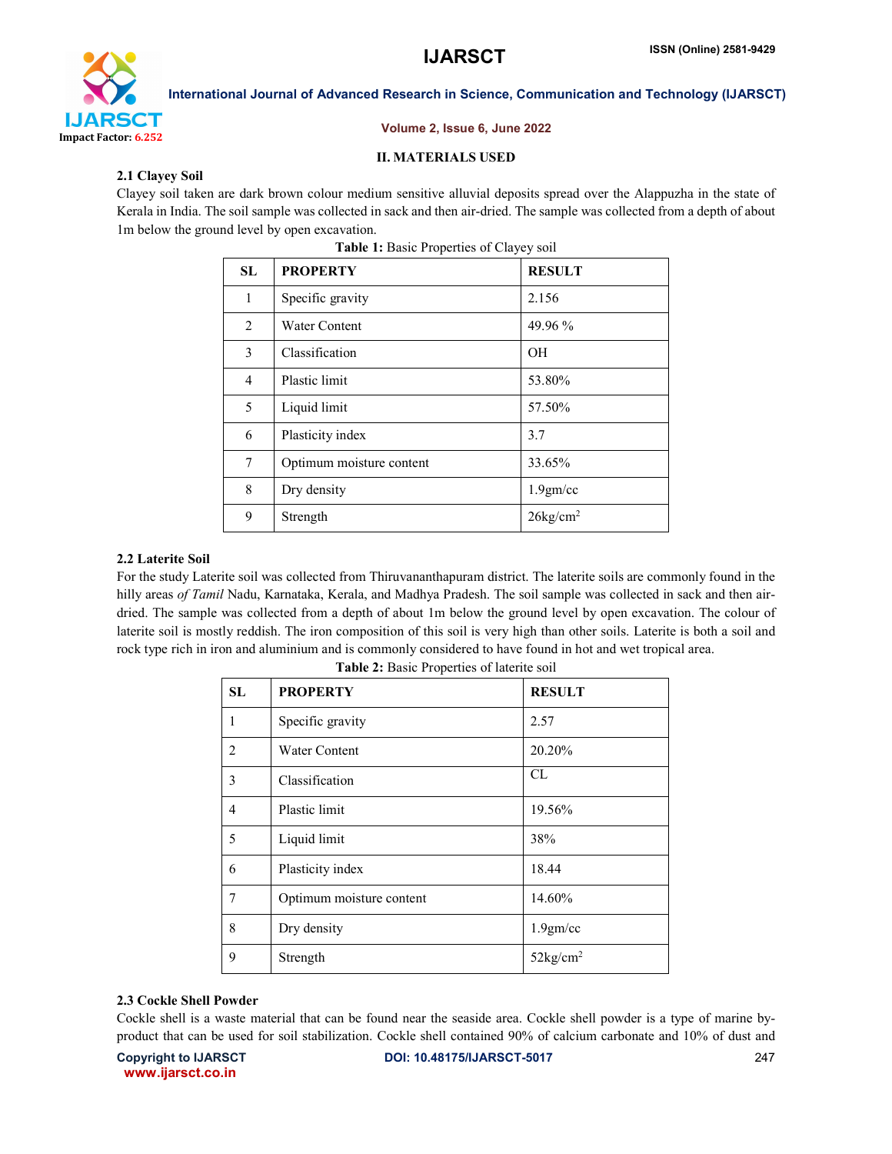

#### Volume 2, Issue 6, June 2022

## II. MATERIALS USED

## 2.1 Clayey Soil

Clayey soil taken are dark brown colour medium sensitive alluvial deposits spread over the Alappuzha in the state of Kerala in India. The soil sample was collected in sack and then air-dried. The sample was collected from a depth of about 1m below the ground level by open excavation.

| <b>SL</b>      | <b>PROPERTY</b>          | <b>RESULT</b>      |
|----------------|--------------------------|--------------------|
| $\mathbf{1}$   | Specific gravity         | 2.156              |
| 2              | <b>Water Content</b>     | 49.96 %            |
| 3              | Classification           | <b>OH</b>          |
| $\overline{4}$ | Plastic limit            | 53.80%             |
| 5              | Liquid limit             | 57.50%             |
| 6              | Plasticity index         | 3.7                |
| 7              | Optimum moisture content | 33.65%             |
| 8              | Dry density              | 1.9gm/cc           |
| 9              | Strength                 | $26\text{kg/cm}^2$ |

| Table 1: Basic Properties of Clayey soil |
|------------------------------------------|
|------------------------------------------|

#### 2.2 Laterite Soil

For the study Laterite soil was collected from Thiruvananthapuram district. The laterite soils are commonly found in the hilly areas *of Tamil* Nadu, Karnataka, Kerala, and Madhya Pradesh. The soil sample was collected in sack and then airdried. The sample was collected from a depth of about 1m below the ground level by open excavation. The colour of laterite soil is mostly reddish. The iron composition of this soil is very high than other soils. Laterite is both a soil and rock type rich in iron and aluminium and is commonly considered to have found in hot and wet tropical area.

| <b>SL</b>      | <b>PROPERTY</b>          | <b>RESULT</b>      |
|----------------|--------------------------|--------------------|
| 1              | Specific gravity         | 2.57               |
| $\overline{2}$ | <b>Water Content</b>     | 20.20%             |
| 3              | Classification           | CL                 |
| $\overline{4}$ | Plastic limit            | 19.56%             |
| 5              | Liquid limit             | 38%                |
| 6              | Plasticity index         | 18.44              |
| 7              | Optimum moisture content | 14.60%             |
| 8              | Dry density              | 1.9gm/cc           |
| 9              | Strength                 | $52\text{kg/cm}^2$ |

Table 2: Basic Properties of laterite soil

#### 2.3 Cockle Shell Powder

Cockle shell is a waste material that can be found near the seaside area. Cockle shell powder is a type of marine byproduct that can be used for soil stabilization. Cockle shell contained 90% of calcium carbonate and 10% of dust and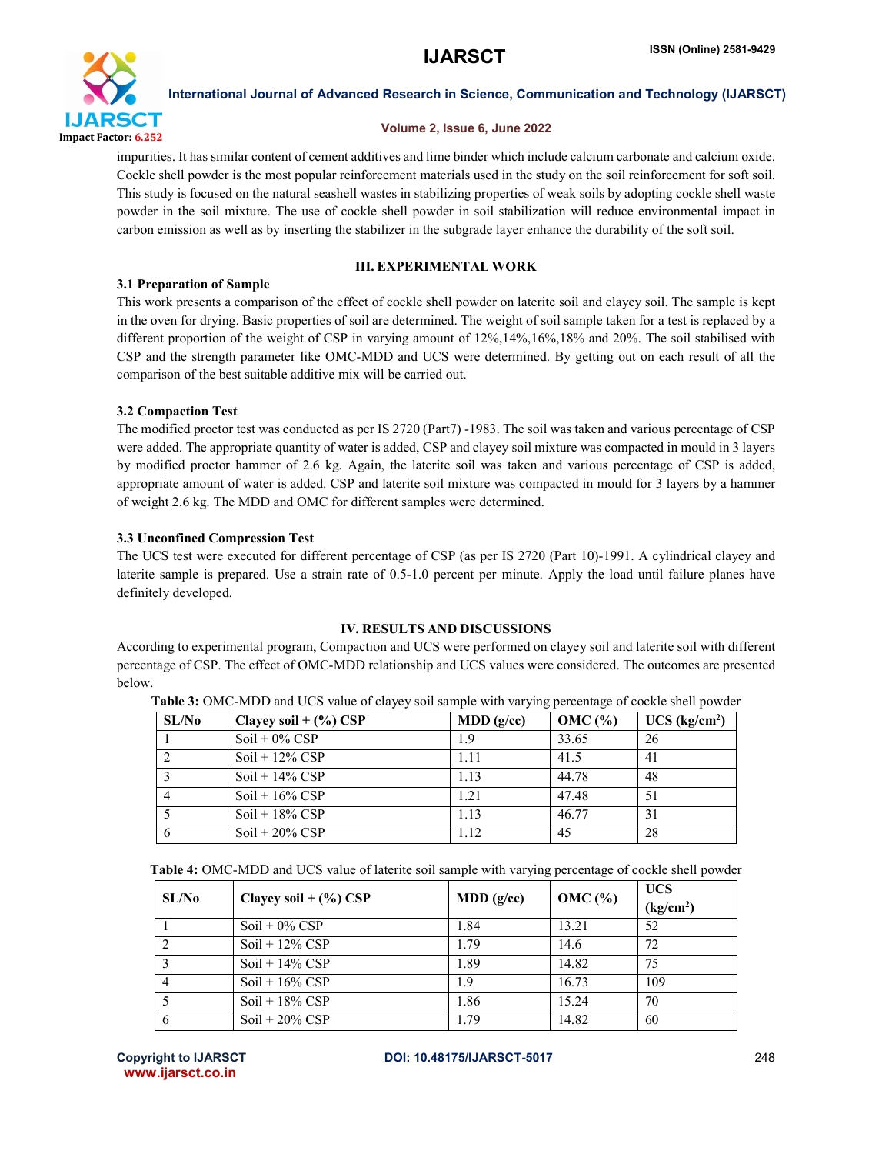

#### Volume 2, Issue 6, June 2022

impurities. It has similar content of cement additives and lime binder which include calcium carbonate and calcium oxide. Cockle shell powder is the most popular reinforcement materials used in the study on the soil reinforcement for soft soil. This study is focused on the natural seashell wastes in stabilizing properties of weak soils by adopting cockle shell waste powder in the soil mixture. The use of cockle shell powder in soil stabilization will reduce environmental impact in carbon emission as well as by inserting the stabilizer in the subgrade layer enhance the durability of the soft soil.

### III. EXPERIMENTAL WORK

#### 3.1 Preparation of Sample

This work presents a comparison of the effect of cockle shell powder on laterite soil and clayey soil. The sample is kept in the oven for drying. Basic properties of soil are determined. The weight of soil sample taken for a test is replaced by a different proportion of the weight of CSP in varying amount of  $12\%, 14\%, 16\%, 18\%$  and  $20\%$ . The soil stabilised with CSP and the strength parameter like OMC-MDD and UCS were determined. By getting out on each result of all the comparison of the best suitable additive mix will be carried out.

#### 3.2 Compaction Test

The modified proctor test was conducted as per IS 2720 (Part7) -1983. The soil was taken and various percentage of CSP were added. The appropriate quantity of water is added, CSP and clayey soil mixture was compacted in mould in 3 layers by modified proctor hammer of 2.6 kg. Again, the laterite soil was taken and various percentage of CSP is added, appropriate amount of water is added. CSP and laterite soil mixture was compacted in mould for 3 layers by a hammer of weight 2.6 kg. The MDD and OMC for different samples were determined.

#### 3.3 Unconfined Compression Test

The UCS test were executed for different percentage of CSP (as per IS 2720 (Part 10)-1991. A cylindrical clayey and laterite sample is prepared. Use a strain rate of 0.5-1.0 percent per minute. Apply the load until failure planes have definitely developed.

## IV. RESULTS AND DISCUSSIONS

According to experimental program, Compaction and UCS were performed on clayey soil and laterite soil with different percentage of CSP. The effect of OMC-MDD relationship and UCS values were considered. The outcomes are presented below.

| SL/N <sub>0</sub> | Clayey soil $+(%)$ CSP | MDD(g/cc) | $OMC$ $%$ | $UCS$ (kg/cm <sup>2</sup> ) |
|-------------------|------------------------|-----------|-----------|-----------------------------|
|                   | $Soil + 0\%$ CSP       | 1.9       | 33.65     | 26                          |
|                   | $Soi1 + 12\%$ CSP      | 1.11      | 41.5      | 41                          |
|                   | $Soi1 + 14\%$ CSP      | 1.13      | 44.78     | 48                          |
|                   | $Soi1 + 16\%$ CSP      | 1.21      | 47.48     | 51                          |
|                   | $Soi1 + 18\%$ CSP      | 1.13      | 46.77     | 31                          |
|                   | $Soil + 20\%$ CSP      | 1.12      | 45        | 28                          |

Table 3: OMC-MDD and UCS value of clayey soil sample with varying percentage of cockle shell powder

| Table 4: OMC-MDD and UCS value of laterite soil sample with varying percentage of cockle shell powder |  |
|-------------------------------------------------------------------------------------------------------|--|
|-------------------------------------------------------------------------------------------------------|--|

| SL/N <sub>0</sub> | Clayey soil $+(%)$ CSP | MDD(g/cc) | OMC $(\% )$ | <b>UCS</b><br>(kg/cm <sup>2</sup> ) |
|-------------------|------------------------|-----------|-------------|-------------------------------------|
|                   | $Soil + 0\%$ CSP       | 1.84      | 13.21       | 52                                  |
|                   | $Soi1 + 12\%$ CSP      | 1.79      | 14.6        | 72                                  |
|                   | $Soil + 14\%$ CSP      | 1.89      | 14.82       | 75                                  |
|                   | $Soil + 16\%$ CSP      | 1.9       | 16.73       | 109                                 |
|                   | $Soi1 + 18\%$ CSP      | 1.86      | 15.24       | 70                                  |
| 6                 | $Soi1 + 20\%$ CSP      | 1.79      | 14.82       | 60                                  |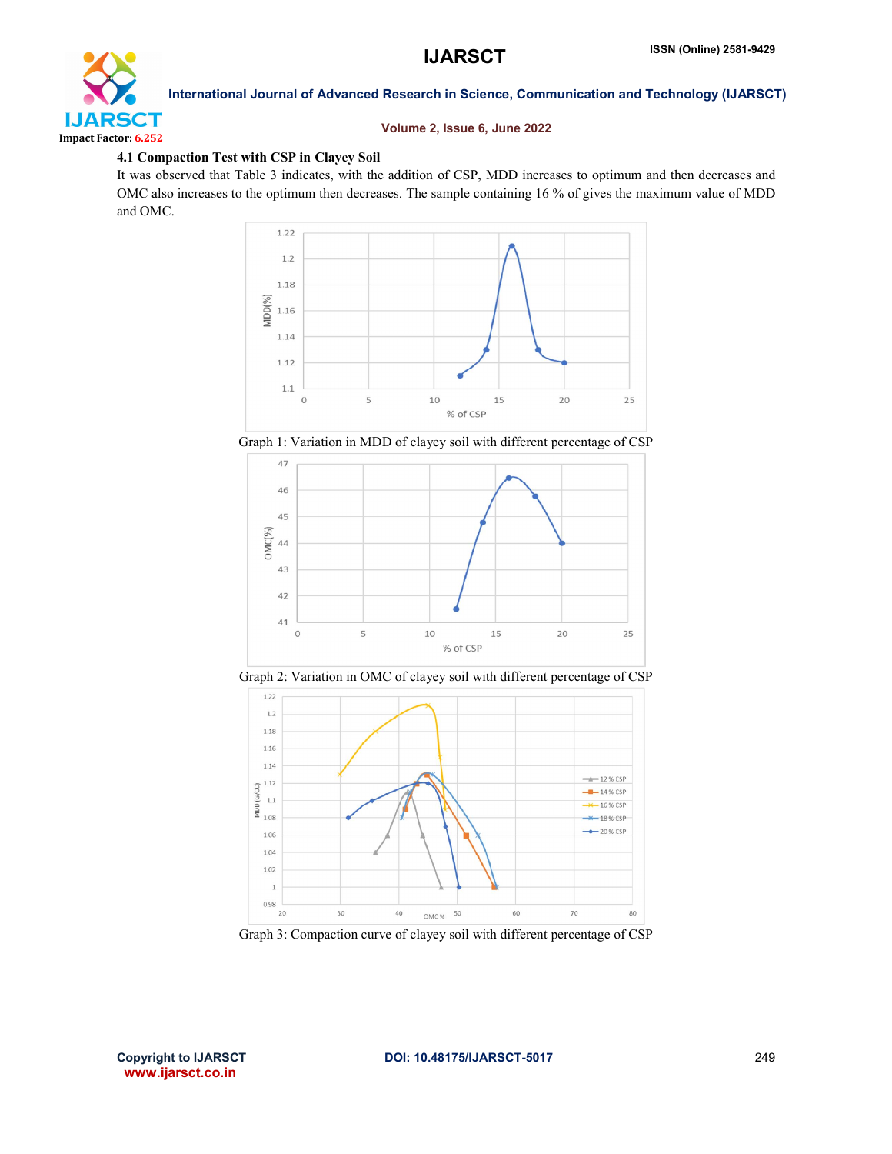

#### Volume 2, Issue 6, June 2022

#### 4.1 Compaction Test with CSP in Clayey Soil

It was observed that Table 3 indicates, with the addition of CSP, MDD increases to optimum and then decreases and OMC also increases to the optimum then decreases. The sample containing 16 % of gives the maximum value of MDD and OMC.



Graph 1: Variation in MDD of clayey soil with different percentage of CSP



Graph 2: Variation in OMC of clayey soil with different percentage of CSP



Graph 3: Compaction curve of clayey soil with different percentage of CSP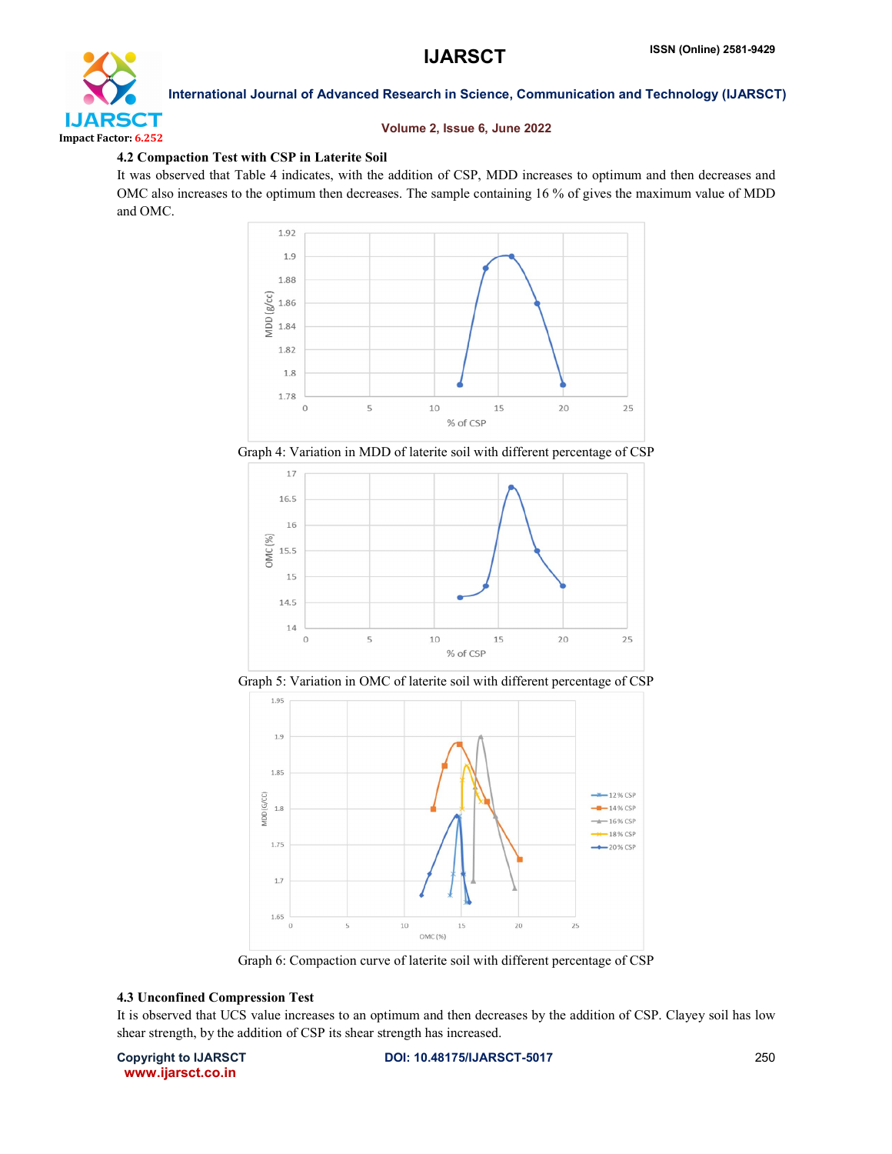

#### Volume 2, Issue 6, June 2022

#### 4.2 Compaction Test with CSP in Laterite Soil

It was observed that Table 4 indicates, with the addition of CSP, MDD increases to optimum and then decreases and OMC also increases to the optimum then decreases. The sample containing 16 % of gives the maximum value of MDD and OMC.



Graph 4: Variation in MDD of laterite soil with different percentage of CSP



Graph 5: Variation in OMC of laterite soil with different percentage of CSP



Graph 6: Compaction curve of laterite soil with different percentage of CSP

#### 4.3 Unconfined Compression Test

It is observed that UCS value increases to an optimum and then decreases by the addition of CSP. Clayey soil has low shear strength, by the addition of CSP its shear strength has increased.

www.ijarsct.co.in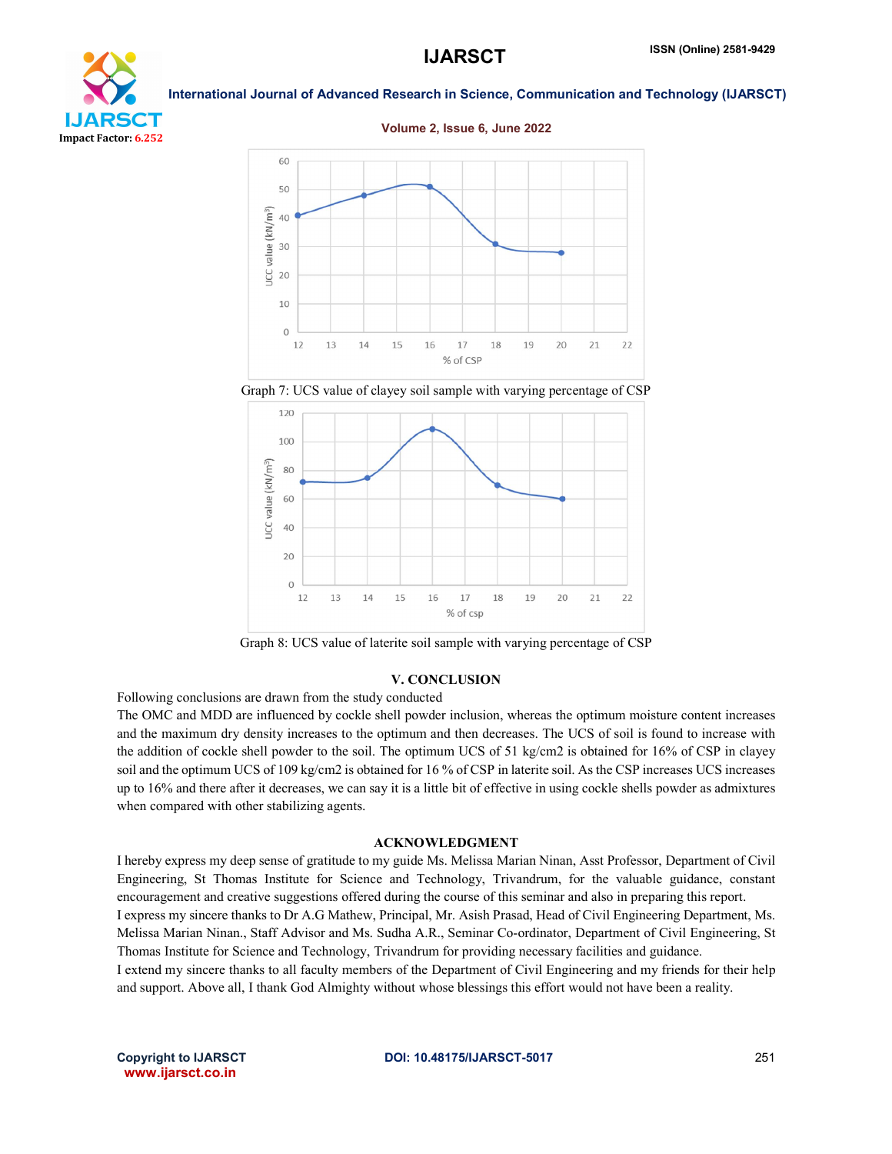# CT Impact Factor: 6.252

International Journal of Advanced Research in Science, Communication and Technology (IJARSCT)



Graph 7: UCS value of clayey soil sample with varying percentage of CSP



Graph 8: UCS value of laterite soil sample with varying percentage of CSP

### V. CONCLUSION

Following conclusions are drawn from the study conducted

The OMC and MDD are influenced by cockle shell powder inclusion, whereas the optimum moisture content increases and the maximum dry density increases to the optimum and then decreases. The UCS of soil is found to increase with the addition of cockle shell powder to the soil. The optimum UCS of 51 kg/cm2 is obtained for 16% of CSP in clayey soil and the optimum UCS of 109 kg/cm2 is obtained for 16 % of CSP in laterite soil. As the CSP increases UCS increases up to 16% and there after it decreases, we can say it is a little bit of effective in using cockle shells powder as admixtures when compared with other stabilizing agents.

### ACKNOWLEDGMENT

I hereby express my deep sense of gratitude to my guide Ms. Melissa Marian Ninan, Asst Professor, Department of Civil Engineering, St Thomas Institute for Science and Technology, Trivandrum, for the valuable guidance, constant encouragement and creative suggestions offered during the course of this seminar and also in preparing this report. I express my sincere thanks to Dr A.G Mathew, Principal, Mr. Asish Prasad, Head of Civil Engineering Department, Ms. Melissa Marian Ninan., Staff Advisor and Ms. Sudha A.R., Seminar Co-ordinator, Department of Civil Engineering, St Thomas Institute for Science and Technology, Trivandrum for providing necessary facilities and guidance. I extend my sincere thanks to all faculty members of the Department of Civil Engineering and my friends for their help and support. Above all, I thank God Almighty without whose blessings this effort would not have been a reality.